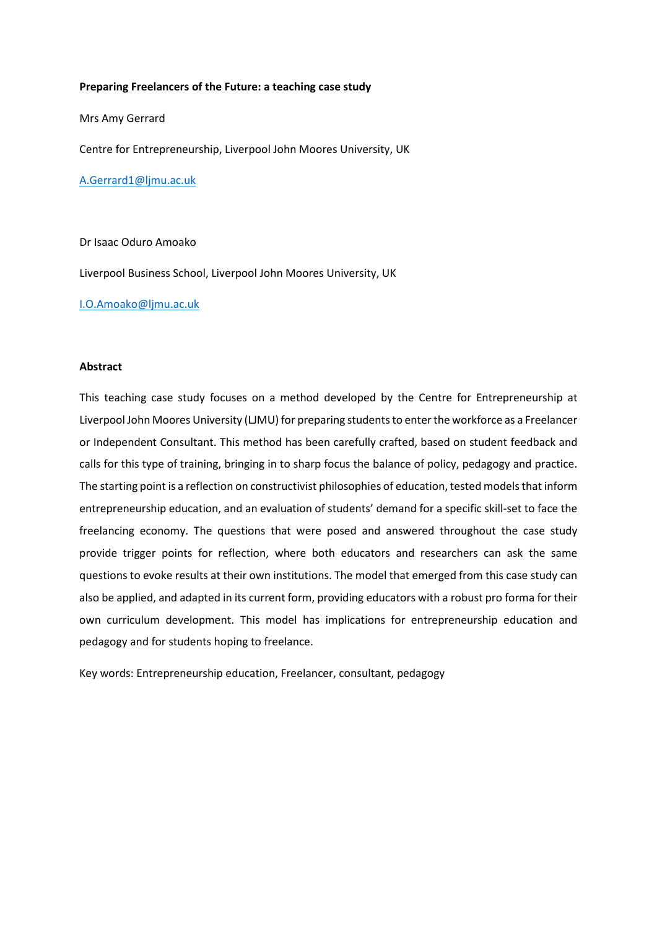#### **Preparing Freelancers of the Future: a teaching case study**

Mrs Amy Gerrard

Centre for Entrepreneurship, Liverpool John Moores University, UK

[A.Gerrard1@ljmu.ac.uk](mailto:A.Gerrard1@ljmu.ac.uk)

Dr Isaac Oduro Amoako

Liverpool Business School, Liverpool John Moores University, UK

[I.O.Amoako@ljmu.ac.uk](mailto:I.O.Amoako@ljmu.ac.uk)

### **Abstract**

This teaching case study focuses on a method developed by the Centre for Entrepreneurship at Liverpool John Moores University (LJMU) for preparing students to enter the workforce as a Freelancer or Independent Consultant. This method has been carefully crafted, based on student feedback and calls for this type of training, bringing in to sharp focus the balance of policy, pedagogy and practice. The starting point is a reflection on constructivist philosophies of education, tested models that inform entrepreneurship education, and an evaluation of students' demand for a specific skill-set to face the freelancing economy. The questions that were posed and answered throughout the case study provide trigger points for reflection, where both educators and researchers can ask the same questions to evoke results at their own institutions. The model that emerged from this case study can also be applied, and adapted in its current form, providing educators with a robust pro forma for their own curriculum development. This model has implications for entrepreneurship education and pedagogy and for students hoping to freelance.

Key words: Entrepreneurship education, Freelancer, consultant, pedagogy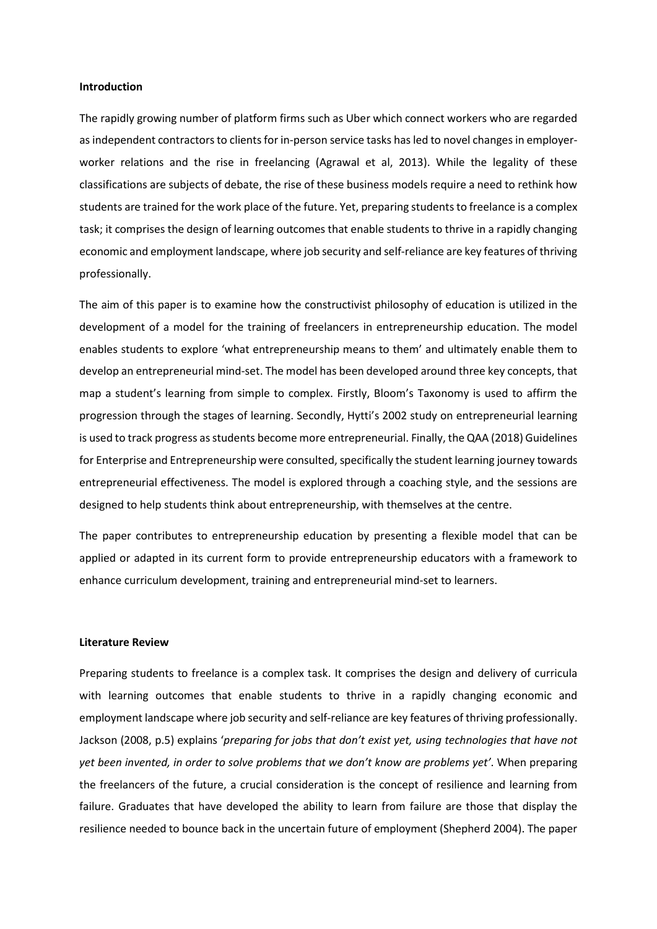#### **Introduction**

The rapidly growing number of platform firms such as Uber which connect workers who are regarded as independent contractors to clients for in-person service tasks has led to novel changes in employerworker relations and the rise in freelancing (Agrawal et al, 2013). While the legality of these classifications are subjects of debate, the rise of these business models require a need to rethink how students are trained for the work place of the future. Yet, preparing students to freelance is a complex task; it comprises the design of learning outcomes that enable students to thrive in a rapidly changing economic and employment landscape, where job security and self-reliance are key features of thriving professionally.

The aim of this paper is to examine how the constructivist philosophy of education is utilized in the development of a model for the training of freelancers in entrepreneurship education. The model enables students to explore 'what entrepreneurship means to them' and ultimately enable them to develop an entrepreneurial mind-set. The model has been developed around three key concepts, that map a student's learning from simple to complex. Firstly, Bloom's Taxonomy is used to affirm the progression through the stages of learning. Secondly, Hytti's 2002 study on entrepreneurial learning is used to track progress as students become more entrepreneurial. Finally, the QAA (2018) Guidelines for Enterprise and Entrepreneurship were consulted, specifically the student learning journey towards entrepreneurial effectiveness. The model is explored through a coaching style, and the sessions are designed to help students think about entrepreneurship, with themselves at the centre.

The paper contributes to entrepreneurship education by presenting a flexible model that can be applied or adapted in its current form to provide entrepreneurship educators with a framework to enhance curriculum development, training and entrepreneurial mind-set to learners.

### **Literature Review**

Preparing students to freelance is a complex task. It comprises the design and delivery of curricula with learning outcomes that enable students to thrive in a rapidly changing economic and employment landscape where job security and self-reliance are key features of thriving professionally. Jackson (2008, p.5) explains '*preparing for jobs that don't exist yet, using technologies that have not yet been invented, in order to solve problems that we don't know are problems yet'*. When preparing the freelancers of the future, a crucial consideration is the concept of resilience and learning from failure. Graduates that have developed the ability to learn from failure are those that display the resilience needed to bounce back in the uncertain future of employment (Shepherd 2004). The paper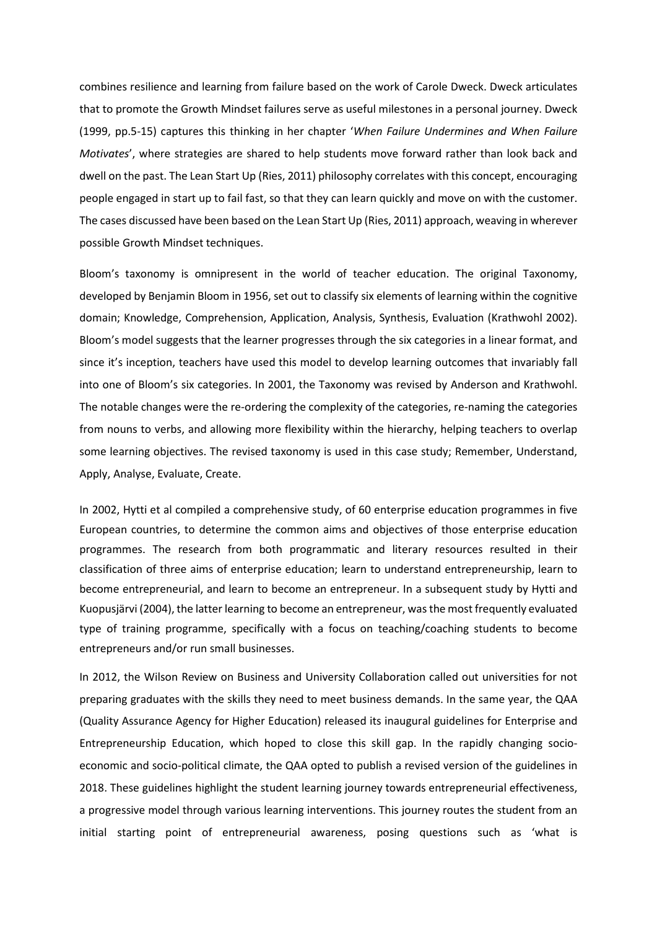combines resilience and learning from failure based on the work of Carole Dweck. Dweck articulates that to promote the Growth Mindset failures serve as useful milestones in a personal journey. Dweck (1999, pp.5-15) captures this thinking in her chapter '*When Failure Undermines and When Failure Motivates*', where strategies are shared to help students move forward rather than look back and dwell on the past. The Lean Start Up (Ries, 2011) philosophy correlates with this concept, encouraging people engaged in start up to fail fast, so that they can learn quickly and move on with the customer. The cases discussed have been based on the Lean Start Up (Ries, 2011) approach, weaving in wherever possible Growth Mindset techniques.

Bloom's taxonomy is omnipresent in the world of teacher education. The original Taxonomy, developed by Benjamin Bloom in 1956, set out to classify six elements of learning within the cognitive domain; Knowledge, Comprehension, Application, Analysis, Synthesis, Evaluation (Krathwohl 2002). Bloom's model suggests that the learner progresses through the six categories in a linear format, and since it's inception, teachers have used this model to develop learning outcomes that invariably fall into one of Bloom's six categories. In 2001, the Taxonomy was revised by Anderson and Krathwohl. The notable changes were the re-ordering the complexity of the categories, re-naming the categories from nouns to verbs, and allowing more flexibility within the hierarchy, helping teachers to overlap some learning objectives. The revised taxonomy is used in this case study; Remember, Understand, Apply, Analyse, Evaluate, Create.

In 2002, Hytti et al compiled a comprehensive study, of 60 enterprise education programmes in five European countries, to determine the common aims and objectives of those enterprise education programmes. The research from both programmatic and literary resources resulted in their classification of three aims of enterprise education; learn to understand entrepreneurship, learn to become entrepreneurial, and learn to become an entrepreneur. In a subsequent study by Hytti and Kuopusjärvi (2004), the latter learning to become an entrepreneur, was the most frequently evaluated type of training programme, specifically with a focus on teaching/coaching students to become entrepreneurs and/or run small businesses.

In 2012, the Wilson Review on Business and University Collaboration called out universities for not preparing graduates with the skills they need to meet business demands. In the same year, the QAA (Quality Assurance Agency for Higher Education) released its inaugural guidelines for Enterprise and Entrepreneurship Education, which hoped to close this skill gap. In the rapidly changing socioeconomic and socio-political climate, the QAA opted to publish a revised version of the guidelines in 2018. These guidelines highlight the student learning journey towards entrepreneurial effectiveness, a progressive model through various learning interventions. This journey routes the student from an initial starting point of entrepreneurial awareness, posing questions such as 'what is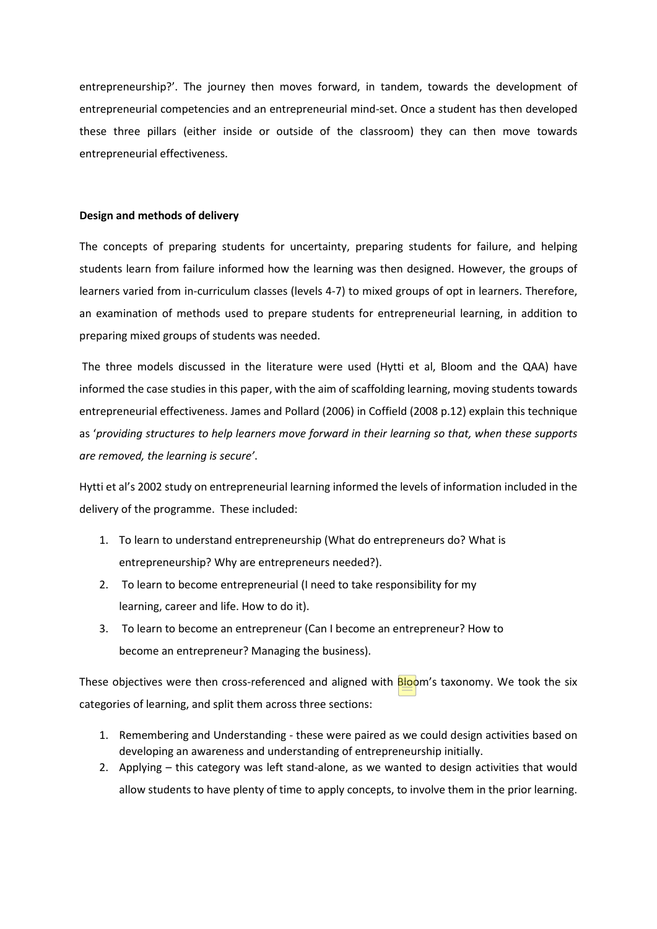entrepreneurship?'. The journey then moves forward, in tandem, towards the development of entrepreneurial competencies and an entrepreneurial mind-set. Once a student has then developed these three pillars (either inside or outside of the classroom) they can then move towards entrepreneurial effectiveness.

## **Design and methods of delivery**

The concepts of preparing students for uncertainty, preparing students for failure, and helping students learn from failure informed how the learning was then designed. However, the groups of learners varied from in-curriculum classes (levels 4-7) to mixed groups of opt in learners. Therefore, an examination of methods used to prepare students for entrepreneurial learning, in addition to preparing mixed groups of students was needed.

The three models discussed in the literature were used (Hytti et al, Bloom and the QAA) have informed the case studies in this paper, with the aim of scaffolding learning, moving students towards entrepreneurial effectiveness. James and Pollard (2006) in Coffield (2008 p.12) explain this technique as '*providing structures to help learners move forward in their learning so that, when these supports are removed, the learning is secure'*.

Hytti et al's 2002 study on entrepreneurial learning informed the levels of information included in the delivery of the programme. These included:

- 1. To learn to understand entrepreneurship (What do entrepreneurs do? What is entrepreneurship? Why are entrepreneurs needed?).
- 2. To learn to become entrepreneurial (I need to take responsibility for my learning, career and life. How to do it).
- 3. To learn to become an entrepreneur (Can I become an entrepreneur? How to become an entrepreneur? Managing the business).

These objectives were then cross-referenced and aligned with **Bloom's taxonomy.** We took the six categories of learning, and split them across three sections:

- 1. Remembering and Understanding these were paired as we could design activities based on developing an awareness and understanding of entrepreneurship initially.
- 2. Applying this category was left stand-alone, as we wanted to design activities that would allow students to have plenty of time to apply concepts, to involve them in the prior learning.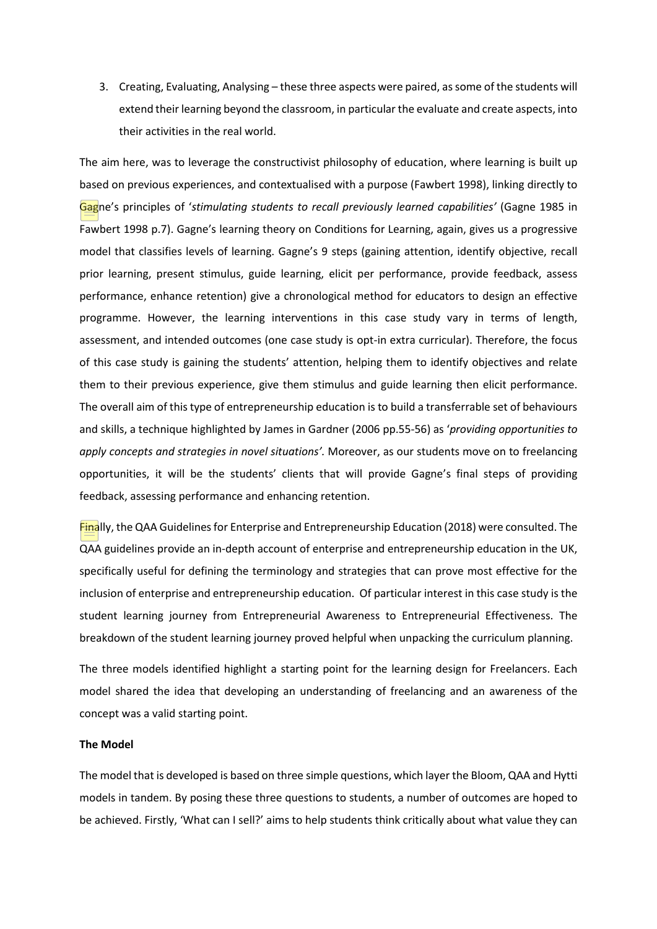3. Creating, Evaluating, Analysing – these three aspects were paired, as some of the students will extend their learning beyond the classroom, in particular the evaluate and create aspects, into their activities in the real world.

The aim here, was to leverage the constructivist philosophy of education, where learning is built up based on previous experiences, and contextualised with a purpose (Fawbert 1998), linking directly to Gagne's principles of '*stimulating students to recall previously learned capabilities'* (Gagne 1985 in Fawbert 1998 p.7). Gagne's learning theory on Conditions for Learning, again, gives us a progressive model that classifies levels of learning. Gagne's 9 steps (gaining attention, identify objective, recall prior learning, present stimulus, guide learning, elicit per performance, provide feedback, assess performance, enhance retention) give a chronological method for educators to design an effective programme. However, the learning interventions in this case study vary in terms of length, assessment, and intended outcomes (one case study is opt-in extra curricular). Therefore, the focus of this case study is gaining the students' attention, helping them to identify objectives and relate them to their previous experience, give them stimulus and guide learning then elicit performance. The overall aim of this type of entrepreneurship education is to build a transferrable set of behaviours and skills, a technique highlighted by James in Gardner (2006 pp.55-56) as '*providing opportunities to apply concepts and strategies in novel situations'.* Moreover, as our students move on to freelancing opportunities, it will be the students' clients that will provide Gagne's final steps of providing feedback, assessing performance and enhancing retention.

Finally, the QAA Guidelines for Enterprise and Entrepreneurship Education (2018) were consulted. The QAA guidelines provide an in-depth account of enterprise and entrepreneurship education in the UK, specifically useful for defining the terminology and strategies that can prove most effective for the inclusion of enterprise and entrepreneurship education. Of particular interest in this case study is the student learning journey from Entrepreneurial Awareness to Entrepreneurial Effectiveness. The breakdown of the student learning journey proved helpful when unpacking the curriculum planning.

The three models identified highlight a starting point for the learning design for Freelancers. Each model shared the idea that developing an understanding of freelancing and an awareness of the concept was a valid starting point.

# **The Model**

The model that is developed is based on three simple questions, which layer the Bloom, QAA and Hytti models in tandem. By posing these three questions to students, a number of outcomes are hoped to be achieved. Firstly, 'What can I sell?' aims to help students think critically about what value they can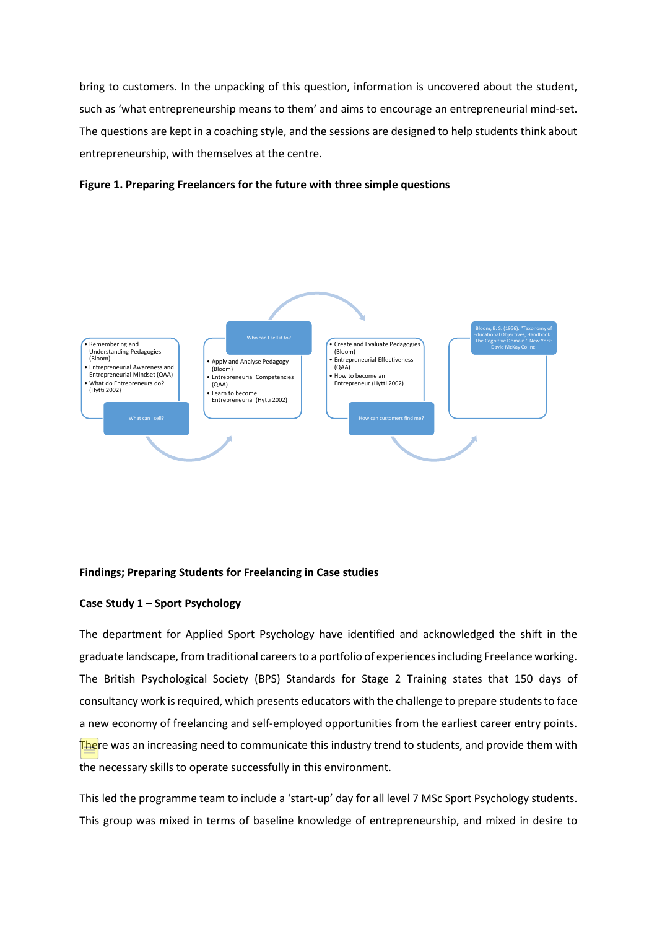bring to customers. In the unpacking of this question, information is uncovered about the student, such as 'what entrepreneurship means to them' and aims to encourage an entrepreneurial mind-set. The questions are kept in a coaching style, and the sessions are designed to help students think about entrepreneurship, with themselves at the centre.





# **Findings; Preparing Students for Freelancing in Case studies**

# **Case Study 1 – Sport Psychology**

The department for Applied Sport Psychology have identified and acknowledged the shift in the graduate landscape, from traditional careers to a portfolio of experiences including Freelance working. The British Psychological Society (BPS) Standards for Stage 2 Training states that 150 days of consultancy work is required, which presents educators with the challenge to prepare students to face a new economy of freelancing and self-employed opportunities from the earliest career entry points. **There** was an increasing need to communicate this industry trend to students, and provide them with the necessary skills to operate successfully in this environment.

This led the programme team to include a 'start-up' day for all level 7 MSc Sport Psychology students. This group was mixed in terms of baseline knowledge of entrepreneurship, and mixed in desire to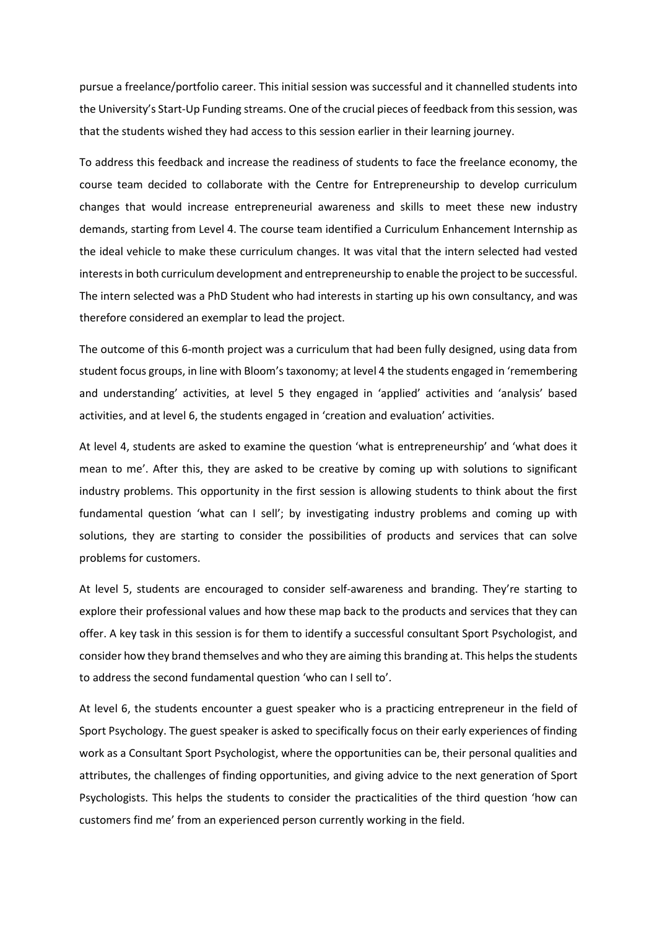pursue a freelance/portfolio career. This initial session was successful and it channelled students into the University's Start-Up Funding streams. One of the crucial pieces of feedback from this session, was that the students wished they had access to this session earlier in their learning journey.

To address this feedback and increase the readiness of students to face the freelance economy, the course team decided to collaborate with the Centre for Entrepreneurship to develop curriculum changes that would increase entrepreneurial awareness and skills to meet these new industry demands, starting from Level 4. The course team identified a Curriculum Enhancement Internship as the ideal vehicle to make these curriculum changes. It was vital that the intern selected had vested interests in both curriculum development and entrepreneurship to enable the project to be successful. The intern selected was a PhD Student who had interests in starting up his own consultancy, and was therefore considered an exemplar to lead the project.

The outcome of this 6-month project was a curriculum that had been fully designed, using data from student focus groups, in line with Bloom's taxonomy; at level 4 the students engaged in 'remembering and understanding' activities, at level 5 they engaged in 'applied' activities and 'analysis' based activities, and at level 6, the students engaged in 'creation and evaluation' activities.

At level 4, students are asked to examine the question 'what is entrepreneurship' and 'what does it mean to me'. After this, they are asked to be creative by coming up with solutions to significant industry problems. This opportunity in the first session is allowing students to think about the first fundamental question 'what can I sell'; by investigating industry problems and coming up with solutions, they are starting to consider the possibilities of products and services that can solve problems for customers.

At level 5, students are encouraged to consider self-awareness and branding. They're starting to explore their professional values and how these map back to the products and services that they can offer. A key task in this session is for them to identify a successful consultant Sport Psychologist, and consider how they brand themselves and who they are aiming this branding at. This helps the students to address the second fundamental question 'who can I sell to'.

At level 6, the students encounter a guest speaker who is a practicing entrepreneur in the field of Sport Psychology. The guest speaker is asked to specifically focus on their early experiences of finding work as a Consultant Sport Psychologist, where the opportunities can be, their personal qualities and attributes, the challenges of finding opportunities, and giving advice to the next generation of Sport Psychologists. This helps the students to consider the practicalities of the third question 'how can customers find me' from an experienced person currently working in the field.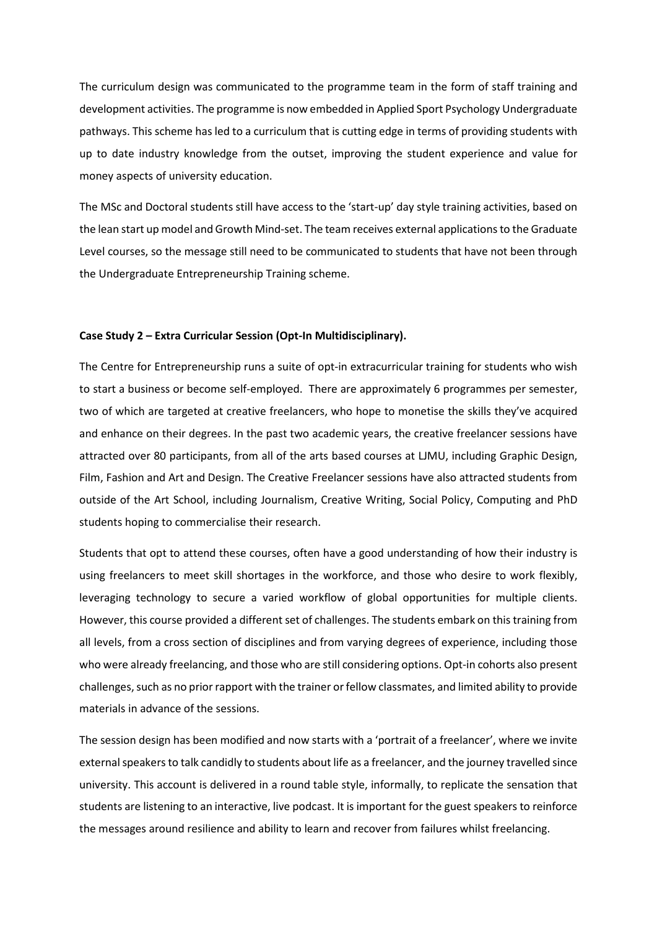The curriculum design was communicated to the programme team in the form of staff training and development activities. The programme is now embedded in Applied Sport Psychology Undergraduate pathways. This scheme has led to a curriculum that is cutting edge in terms of providing students with up to date industry knowledge from the outset, improving the student experience and value for money aspects of university education.

The MSc and Doctoral students still have access to the 'start-up' day style training activities, based on the lean start up model and Growth Mind-set. The team receives external applications to the Graduate Level courses, so the message still need to be communicated to students that have not been through the Undergraduate Entrepreneurship Training scheme.

#### **Case Study 2 – Extra Curricular Session (Opt-In Multidisciplinary).**

The Centre for Entrepreneurship runs a suite of opt-in extracurricular training for students who wish to start a business or become self-employed. There are approximately 6 programmes per semester, two of which are targeted at creative freelancers, who hope to monetise the skills they've acquired and enhance on their degrees. In the past two academic years, the creative freelancer sessions have attracted over 80 participants, from all of the arts based courses at LJMU, including Graphic Design, Film, Fashion and Art and Design. The Creative Freelancer sessions have also attracted students from outside of the Art School, including Journalism, Creative Writing, Social Policy, Computing and PhD students hoping to commercialise their research.

Students that opt to attend these courses, often have a good understanding of how their industry is using freelancers to meet skill shortages in the workforce, and those who desire to work flexibly, leveraging technology to secure a varied workflow of global opportunities for multiple clients. However, this course provided a different set of challenges. The students embark on this training from all levels, from a cross section of disciplines and from varying degrees of experience, including those who were already freelancing, and those who are still considering options. Opt-in cohorts also present challenges, such as no prior rapport with the trainer or fellow classmates, and limited ability to provide materials in advance of the sessions.

The session design has been modified and now starts with a 'portrait of a freelancer', where we invite external speakers to talk candidly to students about life as a freelancer, and the journey travelled since university. This account is delivered in a round table style, informally, to replicate the sensation that students are listening to an interactive, live podcast. It is important for the guest speakers to reinforce the messages around resilience and ability to learn and recover from failures whilst freelancing.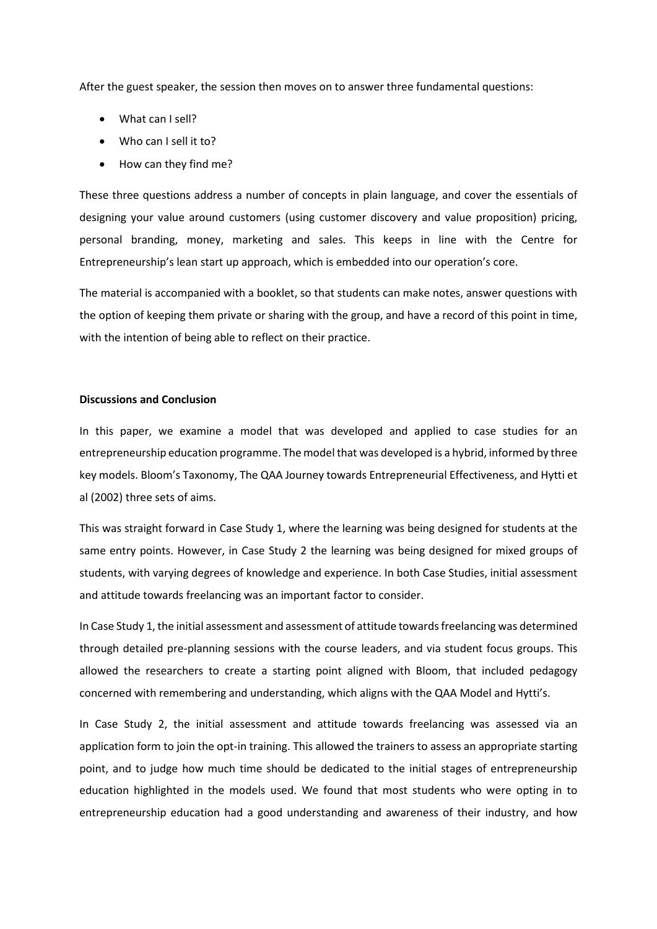After the guest speaker, the session then moves on to answer three fundamental questions:

- What can I sell?
- Who can I sell it to?
- How can they find me?

These three questions address a number of concepts in plain language, and cover the essentials of designing your value around customers (using customer discovery and value proposition) pricing, personal branding, money, marketing and sales. This keeps in line with the Centre for Entrepreneurship's lean start up approach, which is embedded into our operation's core.

The material is accompanied with a booklet, so that students can make notes, answer questions with the option of keeping them private or sharing with the group, and have a record of this point in time, with the intention of being able to reflect on their practice.

# **Discussions and Conclusion**

In this paper, we examine a model that was developed and applied to case studies for an entrepreneurship education programme. The model that was developed is a hybrid, informed by three key models. Bloom's Taxonomy, The QAA Journey towards Entrepreneurial Effectiveness, and Hytti et al (2002) three sets of aims.

This was straight forward in Case Study 1, where the learning was being designed for students at the same entry points. However, in Case Study 2 the learning was being designed for mixed groups of students, with varying degrees of knowledge and experience. In both Case Studies, initial assessment and attitude towards freelancing was an important factor to consider.

In Case Study 1, the initial assessment and assessment of attitude towards freelancing was determined through detailed pre-planning sessions with the course leaders, and via student focus groups. This allowed the researchers to create a starting point aligned with Bloom, that included pedagogy concerned with remembering and understanding, which aligns with the QAA Model and Hytti's.

In Case Study 2, the initial assessment and attitude towards freelancing was assessed via an application form to join the opt-in training. This allowed the trainers to assess an appropriate starting point, and to judge how much time should be dedicated to the initial stages of entrepreneurship education highlighted in the models used. We found that most students who were opting in to entrepreneurship education had a good understanding and awareness of their industry, and how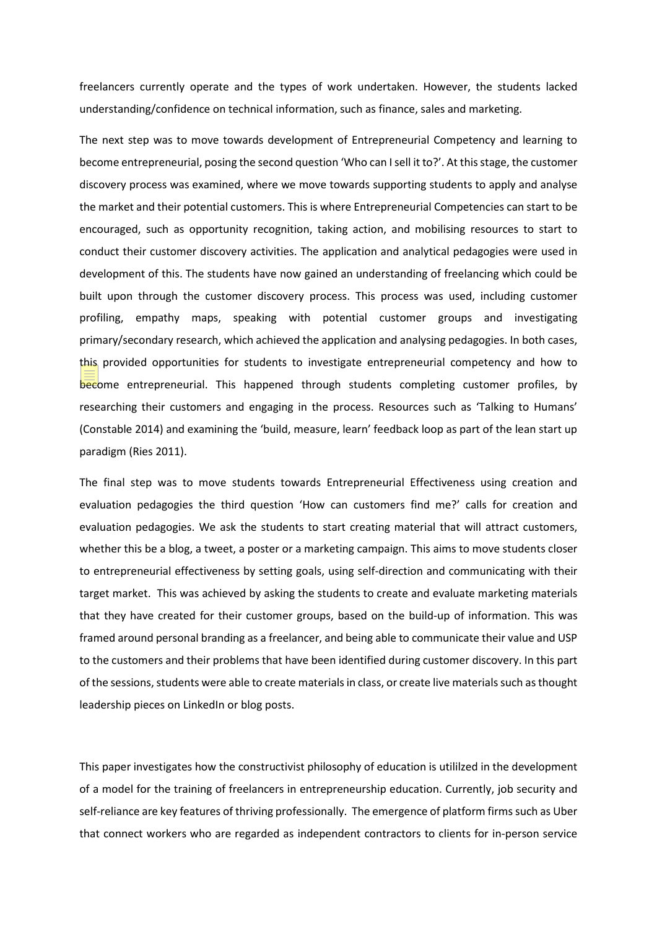freelancers currently operate and the types of work undertaken. However, the students lacked understanding/confidence on technical information, such as finance, sales and marketing.

The next step was to move towards development of Entrepreneurial Competency and learning to become entrepreneurial, posing the second question 'Who can I sell it to?'. At this stage, the customer discovery process was examined, where we move towards supporting students to apply and analyse the market and their potential customers. This is where Entrepreneurial Competencies can start to be encouraged, such as opportunity recognition, taking action, and mobilising resources to start to conduct their customer discovery activities. The application and analytical pedagogies were used in development of this. The students have now gained an understanding of freelancing which could be built upon through the customer discovery process. This process was used, including customer profiling, empathy maps, speaking with potential customer groups and investigating primary/secondary research, which achieved the application and analysing pedagogies. In both cases, this provided opportunities for students to investigate entrepreneurial competency and how to become entrepreneurial. This happened through students completing customer profiles, by researching their customers and engaging in the process. Resources such as 'Talking to Humans' (Constable 2014) and examining the 'build, measure, learn' feedback loop as part of the lean start up paradigm (Ries 2011).

The final step was to move students towards Entrepreneurial Effectiveness using creation and evaluation pedagogies the third question 'How can customers find me?' calls for creation and evaluation pedagogies. We ask the students to start creating material that will attract customers, whether this be a blog, a tweet, a poster or a marketing campaign. This aims to move students closer to entrepreneurial effectiveness by setting goals, using self-direction and communicating with their target market. This was achieved by asking the students to create and evaluate marketing materials that they have created for their customer groups, based on the build-up of information. This was framed around personal branding as a freelancer, and being able to communicate their value and USP to the customers and their problems that have been identified during customer discovery. In this part of the sessions, students were able to create materials in class, or create live materials such as thought leadership pieces on LinkedIn or blog posts.

This paper investigates how the constructivist philosophy of education is utililzed in the development of a model for the training of freelancers in entrepreneurship education. Currently, job security and self-reliance are key features of thriving professionally. The emergence of platform firms such as Uber that connect workers who are regarded as independent contractors to clients for in-person service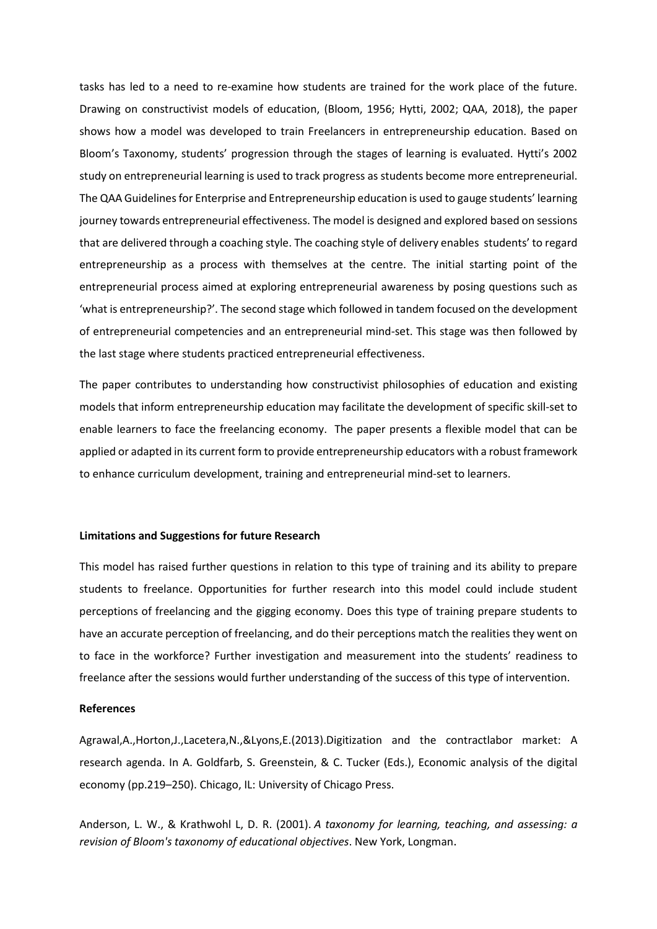tasks has led to a need to re-examine how students are trained for the work place of the future. Drawing on constructivist models of education, (Bloom, 1956; Hytti, 2002; QAA, 2018), the paper shows how a model was developed to train Freelancers in entrepreneurship education. Based on Bloom's Taxonomy, students' progression through the stages of learning is evaluated. Hytti's 2002 study on entrepreneurial learning is used to track progress as students become more entrepreneurial. The QAA Guidelines for Enterprise and Entrepreneurship education is used to gauge students' learning journey towards entrepreneurial effectiveness. The model is designed and explored based on sessions that are delivered through a coaching style. The coaching style of delivery enables students' to regard entrepreneurship as a process with themselves at the centre. The initial starting point of the entrepreneurial process aimed at exploring entrepreneurial awareness by posing questions such as 'what is entrepreneurship?'. The second stage which followed in tandem focused on the development of entrepreneurial competencies and an entrepreneurial mind-set. This stage was then followed by the last stage where students practiced entrepreneurial effectiveness.

The paper contributes to understanding how constructivist philosophies of education and existing models that inform entrepreneurship education may facilitate the development of specific skill-set to enable learners to face the freelancing economy. The paper presents a flexible model that can be applied or adapted in its current form to provide entrepreneurship educators with a robust framework to enhance curriculum development, training and entrepreneurial mind-set to learners.

#### **Limitations and Suggestions for future Research**

This model has raised further questions in relation to this type of training and its ability to prepare students to freelance. Opportunities for further research into this model could include student perceptions of freelancing and the gigging economy. Does this type of training prepare students to have an accurate perception of freelancing, and do their perceptions match the realities they went on to face in the workforce? Further investigation and measurement into the students' readiness to freelance after the sessions would further understanding of the success of this type of intervention.

#### **References**

Agrawal,A.,Horton,J.,Lacetera,N.,&Lyons,E.(2013).Digitization and the contractlabor market: A research agenda. In A. Goldfarb, S. Greenstein, & C. Tucker (Eds.), Economic analysis of the digital economy (pp.219–250). Chicago, IL: University of Chicago Press.

Anderson, L. W., & Krathwohl L, D. R. (2001). *A taxonomy for learning, teaching, and assessing: a revision of Bloom's taxonomy of educational objectives*. New York, Longman.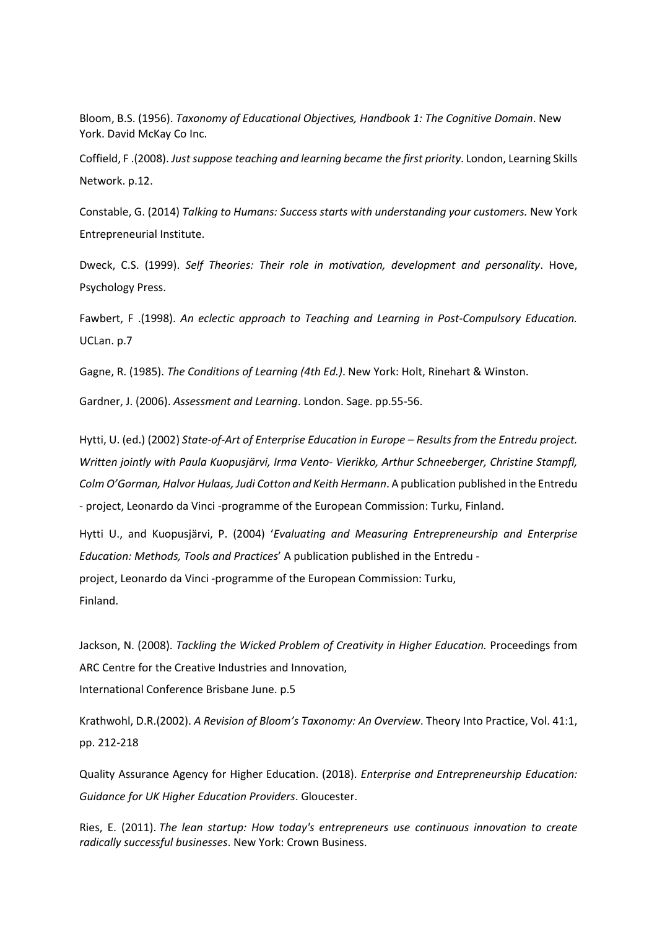Bloom, B.S. (1956). *Taxonomy of Educational Objectives, Handbook 1: The Cognitive Domain*. New York. David McKay Co Inc.

Coffield, F .(2008). *Just suppose teaching and learning became the first priority*. London, Learning Skills Network. p.12.

Constable, G. (2014) *Talking to Humans: Success starts with understanding your customers.* New York Entrepreneurial Institute.

Dweck, C.S. (1999). *Self Theories: Their role in motivation, development and personality*. Hove, Psychology Press.

Fawbert, F .(1998). *An eclectic approach to Teaching and Learning in Post-Compulsory Education.* UCLan. p.7

Gagne, R. (1985). *The Conditions of Learning (4th Ed.)*. New York: Holt, Rinehart & Winston.

Gardner, J. (2006). *Assessment and Learning*. London. Sage. pp.55-56.

Hytti, U. (ed.) (2002) *State-of-Art of Enterprise Education in Europe – Results from the Entredu project. Written jointly with Paula Kuopusjärvi, Irma Vento- Vierikko, Arthur Schneeberger, Christine Stampfl, Colm O'Gorman, Halvor Hulaas, Judi Cotton and Keith Hermann*. A publication published in the Entredu - project, Leonardo da Vinci -programme of the European Commission: Turku, Finland.

Hytti U., and Kuopusjärvi, P. (2004) '*Evaluating and Measuring Entrepreneurship and Enterprise Education: Methods, Tools and Practices*' A publication published in the Entredu project, Leonardo da Vinci -programme of the European Commission: Turku, Finland.

Jackson, N. (2008). *Tackling the Wicked Problem of Creativity in Higher Education.* Proceedings from ARC Centre for the Creative Industries and Innovation, International Conference Brisbane June. p.5

Krathwohl, D.R.(2002). *A Revision of Bloom's Taxonomy: An Overview*. Theory Into Practice, Vol. 41:1, pp. 212-218

Quality Assurance Agency for Higher Education. (2018). *Enterprise and Entrepreneurship Education: Guidance for UK Higher Education Providers*. Gloucester.

Ries, E. (2011). *The lean startup: How today's entrepreneurs use continuous innovation to create radically successful businesses*. New York: Crown Business.